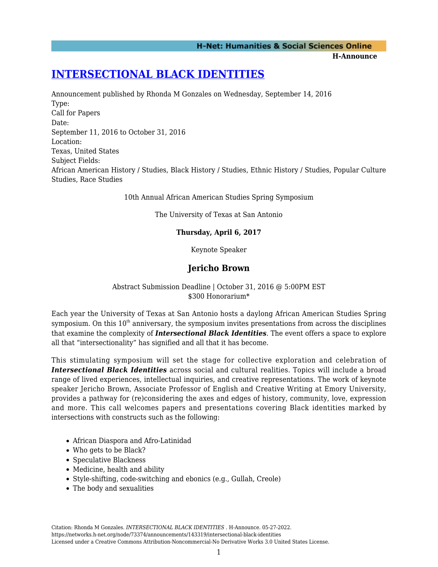### **H-Net: Humanities & Social Sciences Online**

**H-Announce** 

# **[INTERSECTIONAL BLACK IDENTITIES](https://networks.h-net.org/node/73374/announcements/143319/intersectional-black-identities)**

Announcement published by Rhonda M Gonzales on Wednesday, September 14, 2016 Type: Call for Papers Date: September 11, 2016 to October 31, 2016 Location: Texas, United States Subject Fields: African American History / Studies, Black History / Studies, Ethnic History / Studies, Popular Culture Studies, Race Studies

10th Annual African American Studies Spring Symposium

The University of Texas at San Antonio

### **Thursday, April 6, 2017**

Keynote Speaker

## **Jericho Brown**

### Abstract Submission Deadline | October 31, 2016 @ 5:00PM EST \$300 Honorarium\*

Each year the University of Texas at San Antonio hosts a daylong African American Studies Spring symposium. On this  $10<sup>th</sup>$  anniversary, the symposium invites presentations from across the disciplines that examine the complexity of *Intersectional Black Identities*. The event offers a space to explore all that "intersectionality" has signified and all that it has become.

This stimulating symposium will set the stage for collective exploration and celebration of *Intersectional Black Identities* across social and cultural realities. Topics will include a broad range of lived experiences, intellectual inquiries, and creative representations. The work of keynote speaker Jericho Brown, Associate Professor of English and Creative Writing at Emory University, provides a pathway for (re)considering the axes and edges of history, community, love, expression and more. This call welcomes papers and presentations covering Black identities marked by intersections with constructs such as the following:

- African Diaspora and Afro-Latinidad
- Who gets to be Black?
- Speculative Blackness
- Medicine, health and ability
- Style-shifting, code-switching and ebonics (e.g., Gullah, Creole)
- The body and sexualities